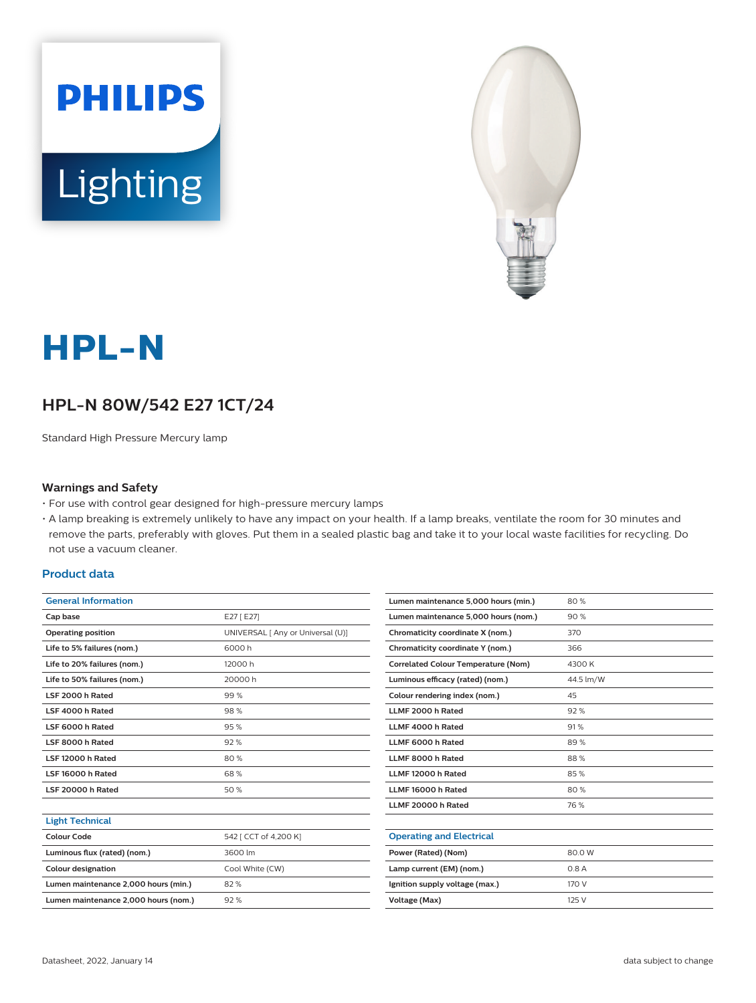



# **HPL-N**

## **HPL-N 80W/542 E27 1CT/24**

Standard High Pressure Mercury lamp

#### **Warnings and Safety**

- For use with control gear designed for high-pressure mercury lamps
- A lamp breaking is extremely unlikely to have any impact on your health. If a lamp breaks, ventilate the room for 30 minutes and remove the parts, preferably with gloves. Put them in a sealed plastic bag and take it to your local waste facilities for recycling. Do not use a vacuum cleaner.

#### **Product data**

| <b>General Information</b>  |                                   |
|-----------------------------|-----------------------------------|
| Cap base                    | E27 [E27]                         |
| <b>Operating position</b>   | UNIVERSAL [ Any or Universal (U)] |
| Life to 5% failures (nom.)  | 6000 h                            |
| Life to 20% failures (nom.) | 12000 h                           |
| Life to 50% failures (nom.) | 20000 h                           |
| LSF 2000 h Rated            | 99%                               |
| LSF 4000 h Rated            | 98%                               |
| LSF 6000 h Rated            | 95%                               |
| LSF 8000 h Rated            | 92%                               |
| LSF 12000 h Rated           | 80%                               |
| LSF 16000 h Rated           | 68%                               |
| LSF 20000 h Rated           | 50%                               |

|  |  |  |  | <b>Light Technical</b> |
|--|--|--|--|------------------------|
|--|--|--|--|------------------------|

| Colour Code                          | 542 [ CCT of 4,200 K] |
|--------------------------------------|-----------------------|
| Luminous flux (rated) (nom.)         | 3600 lm               |
| <b>Colour designation</b>            | Cool White (CW)       |
| Lumen maintenance 2,000 hours (min.) | 82%                   |
| Lumen maintenance 2,000 hours (nom.) | 92%                   |

| Lumen maintenance 5,000 hours (min.)       | 80%       |
|--------------------------------------------|-----------|
| Lumen maintenance 5,000 hours (nom.)       | 90%       |
| Chromaticity coordinate X (nom.)           | 370       |
| Chromaticity coordinate Y (nom.)           | 366       |
| <b>Correlated Colour Temperature (Nom)</b> | 4300 K    |
| Luminous efficacy (rated) (nom.)           | 44.5 lm/W |
| Colour rendering index (nom.)              | 45        |
| LLMF 2000 h Rated                          | 92%       |
| LLMF 4000 h Rated                          | 91%       |
| LLMF 6000 h Rated                          | 89%       |
| LLMF 8000 h Rated                          | 88%       |
| LLMF 12000 h Rated                         | 85%       |
| LLMF 16000 h Rated                         | 80%       |
| LLMF 20000 h Rated                         | 76 %      |
|                                            |           |
| <b>Operating and Electrical</b>            |           |
| Power (Rated) (Nom)                        | 80.0W     |
| Lamp current (EM) (nom.)                   | 0.8A      |
| Ignition supply voltage (max.)             | 170 V     |
| Voltage (Max)                              | 125 V     |
|                                            |           |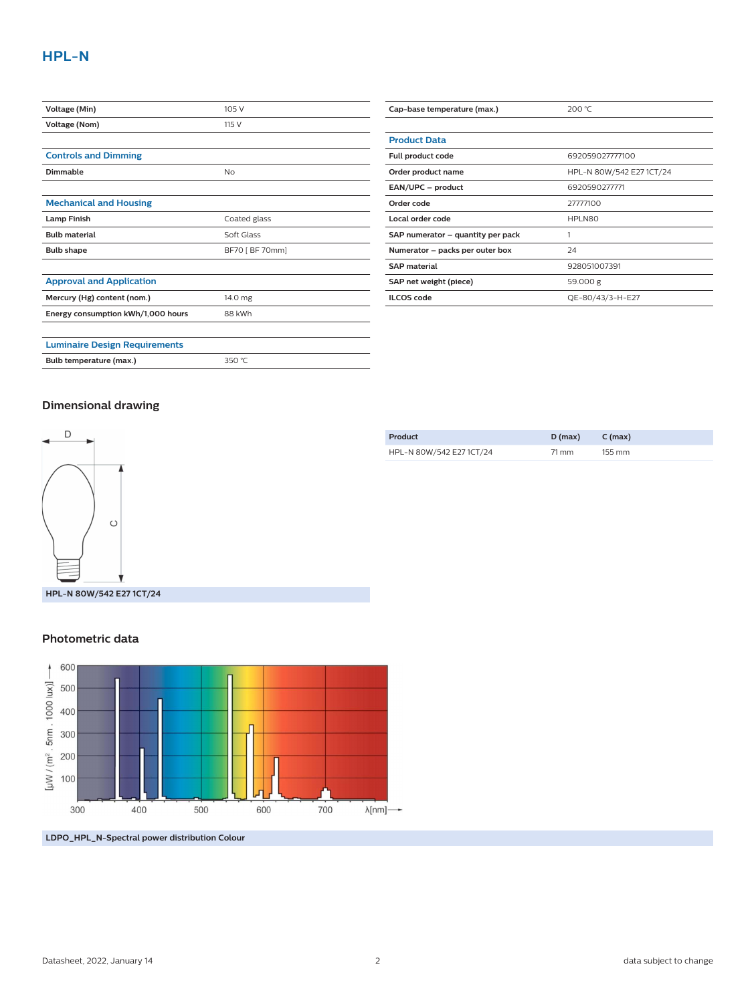| Voltage (Min)                        | 105 V           |
|--------------------------------------|-----------------|
| Voltage (Nom)                        | 115 V           |
|                                      |                 |
| <b>Controls and Dimming</b>          |                 |
| Dimmable                             | No              |
|                                      |                 |
| <b>Mechanical and Housing</b>        |                 |
| <b>Lamp Finish</b>                   | Coated glass    |
| <b>Bulb material</b>                 | Soft Glass      |
| <b>Bulb shape</b>                    | BF70 [ BF 70mm] |
|                                      |                 |
| <b>Approval and Application</b>      |                 |
| Mercury (Hg) content (nom.)          | 14.0 mg         |
| Energy consumption kWh/1,000 hours   | 88 kWh          |
|                                      |                 |
| <b>Luminaire Design Requirements</b> |                 |
| Bulb temperature (max.)              | 350 °C          |

| Cap-base temperature (max.)       | 200 °C                   |
|-----------------------------------|--------------------------|
|                                   |                          |
| <b>Product Data</b>               |                          |
| Full product code                 | 692059027777100          |
| Order product name                | HPL-N 80W/542 E27 1CT/24 |
| EAN/UPC - product                 | 6920590277771            |
| Order code                        | 27777100                 |
| Local order code                  | HPLN80                   |
| SAP numerator - quantity per pack |                          |
| Numerator - packs per outer box   | 24                       |
| <b>SAP material</b>               | 928051007391             |
| SAP net weight (piece)            | 59.000 g                 |
| <b>ILCOS</b> code                 | QE-80/43/3-H-E27         |

#### **Dimensional drawing**



| Product                  | $D$ (max) | C (max)              |
|--------------------------|-----------|----------------------|
| HPL-N 80W/542 E27 1CT/24 | 71 mm     | $155 \, \mathrm{mm}$ |

#### **Photometric data**



**LDPO\_HPL\_N-Spectral power distribution Colour**